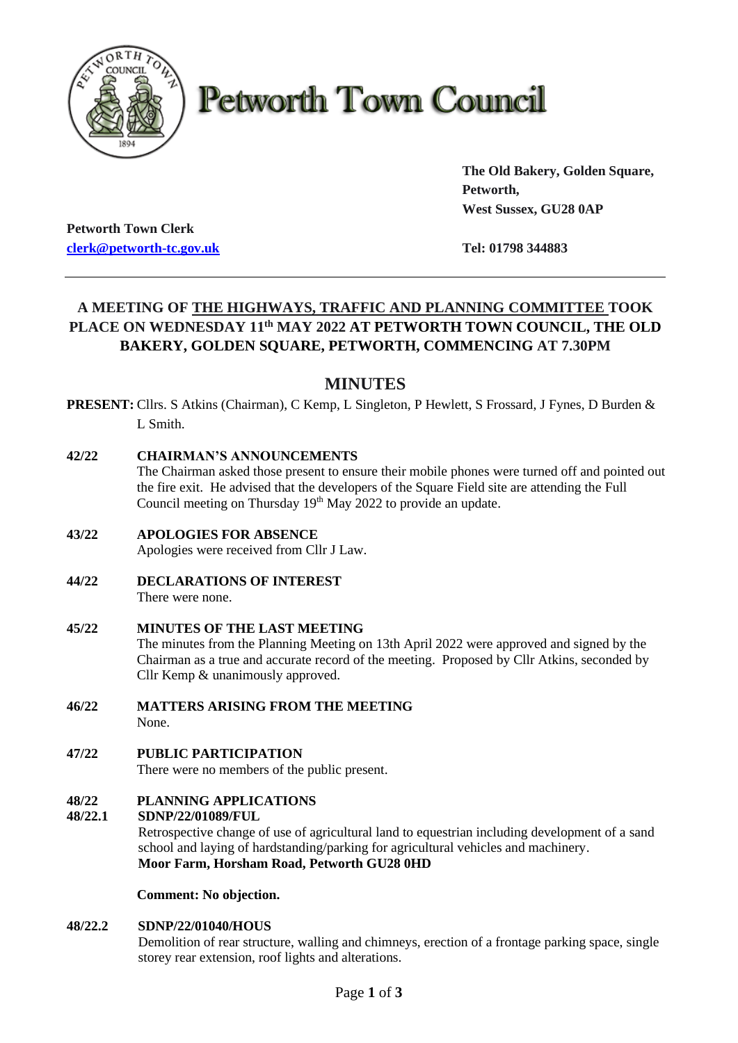

# **Petworth Town Council**

**The Old Bakery, Golden Square, Petworth, West Sussex, GU28 0AP**

**Petworth Town Clerk [clerk@petworth-tc.gov.uk](mailto:clerk@petworth-tc.gov.uk) Tel: 01798 344883**

## **A MEETING OF THE HIGHWAYS, TRAFFIC AND PLANNING COMMITTEE TOOK PLACE ON WEDNESDAY 11 th MAY 2022 AT PETWORTH TOWN COUNCIL, THE OLD BAKERY, GOLDEN SQUARE, PETWORTH, COMMENCING AT 7.30PM**

### **MINUTES**

**PRESENT:** Cllrs. S Atkins (Chairman), C Kemp, L Singleton, P Hewlett, S Frossard, J Fynes, D Burden & L Smith.

#### **42/22 CHAIRMAN'S ANNOUNCEMENTS**

The Chairman asked those present to ensure their mobile phones were turned off and pointed out the fire exit. He advised that the developers of the Square Field site are attending the Full Council meeting on Thursday 19<sup>th</sup> May 2022 to provide an update.

- **43/22 APOLOGIES FOR ABSENCE** Apologies were received from Cllr J Law.
- **44/22 DECLARATIONS OF INTEREST** There were none.
- **45/22 MINUTES OF THE LAST MEETING** The minutes from the Planning Meeting on 13th April 2022 were approved and signed by the Chairman as a true and accurate record of the meeting. Proposed by Cllr Atkins, seconded by Cllr Kemp & unanimously approved.
- **46/22 MATTERS ARISING FROM THE MEETING** None.
- **47/22 PUBLIC PARTICIPATION**

There were no members of the public present.

#### **48/22 PLANNING APPLICATIONS**

#### **48/22.1 SDNP/22/01089/FUL**

Retrospective change of use of agricultural land to equestrian including development of a sand school and laying of hardstanding/parking for agricultural vehicles and machinery. **Moor Farm, Horsham Road, Petworth GU28 0HD**

**Comment: No objection.**

#### **48/22.2 SDNP/22/01040/HOUS**

Demolition of rear structure, walling and chimneys, erection of a frontage parking space, single storey rear extension, roof lights and alterations.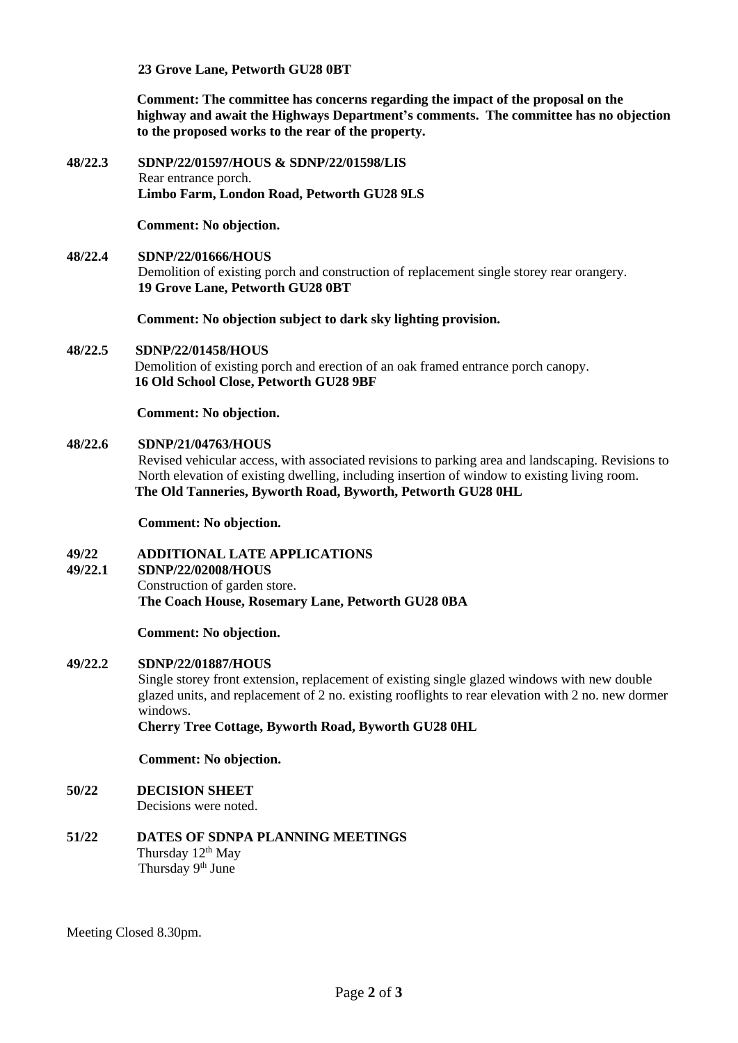**23 Grove Lane, Petworth GU28 0BT**

**Comment: The committee has concerns regarding the impact of the proposal on the highway and await the Highways Department's comments. The committee has no objection to the proposed works to the rear of the property.**

**48/22.3 SDNP/22/01597/HOUS & SDNP/22/01598/LIS** Rear entrance porch. **Limbo Farm, London Road, Petworth GU28 9LS**

**Comment: No objection.**

**48/22.4 SDNP/22/01666/HOUS** Demolition of existing porch and construction of replacement single storey rear orangery. **19 Grove Lane, Petworth GU28 0BT**

**Comment: No objection subject to dark sky lighting provision.**

#### **48/22.5 SDNP/22/01458/HOUS**

 Demolition of existing porch and erection of an oak framed entrance porch canopy. **16 Old School Close, Petworth GU28 9BF**

**Comment: No objection.**

#### **48/22.6 SDNP/21/04763/HOUS**

Revised vehicular access, with associated revisions to parking area and landscaping. Revisions to North elevation of existing dwelling, including insertion of window to existing living room. **The Old Tanneries, Byworth Road, Byworth, Petworth GU28 0HL**

**Comment: No objection.**

#### **49/22 ADDITIONAL LATE APPLICATIONS**

#### **49/22.1 SDNP/22/02008/HOUS**

Construction of garden store. **The Coach House, Rosemary Lane, Petworth GU28 0BA**

**Comment: No objection.**

#### **49/22.2 SDNP/22/01887/HOUS**

Single storey front extension, replacement of existing single glazed windows with new double glazed units, and replacement of 2 no. existing rooflights to rear elevation with 2 no. new dormer windows.

 **Cherry Tree Cottage, Byworth Road, Byworth GU28 0HL**

#### **Comment: No objection.**

**50/22 DECISION SHEET**

Decisions were noted.

**51/22 DATES OF SDNPA PLANNING MEETINGS** Thursday 12<sup>th</sup> May Thursday 9<sup>th</sup> June

Meeting Closed 8.30pm.